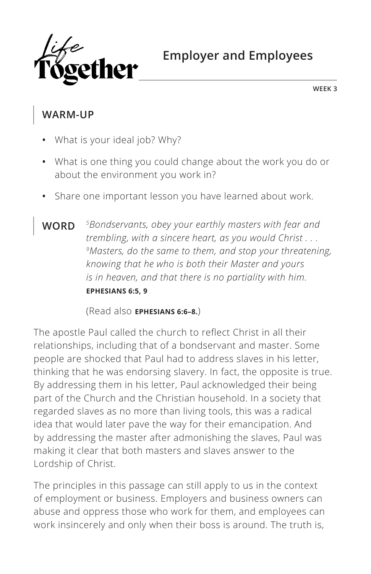

**WEEK 3**

### **WARM-UP**

- **•** What is your ideal job? Why?
- **•** What is one thing you could change about the work you do or about the environment you work in?
- **•** Share one important lesson you have learned about work.
- **WORD** *5Bondservants, obey your earthly masters with fear and trembling, with a sincere heart, as you would Christ . . . 9Masters, do the same to them, and stop your threatening, knowing that he who is both their Master and yours is in heaven, and that there is no partiality with him. ^***EPHESIANS 6:5, 9**

(Read also **^EPHESIANS 6:6–8.**)

The apostle Paul called the church to reflect Christ in all their relationships, including that of a bondservant and master. Some people are shocked that Paul had to address slaves in his letter, thinking that he was endorsing slavery. In fact, the opposite is true. By addressing them in his letter, Paul acknowledged their being part of the Church and the Christian household. In a society that regarded slaves as no more than living tools, this was a radical idea that would later pave the way for their emancipation. And by addressing the master after admonishing the slaves, Paul was making it clear that both masters and slaves answer to the Lordship of Christ.

The principles in this passage can still apply to us in the context of employment or business. Employers and business owners can abuse and oppress those who work for them, and employees can work insincerely and only when their boss is around. The truth is,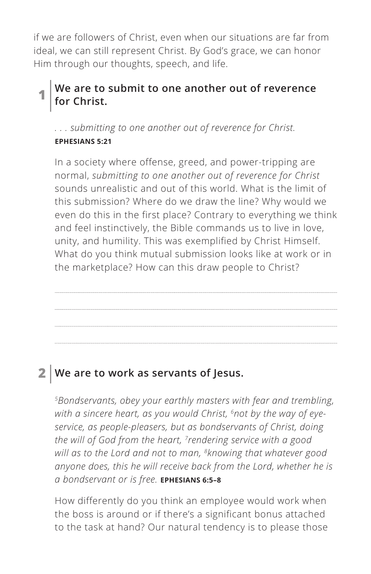if we are followers of Christ, even when our situations are far from ideal, we can still represent Christ. By God's grace, we can honor Him through our thoughts, speech, and life.

#### **1 We are to submit to one another out of reverence for Christ.**

*. . . submitting to one another out of reverence for Christ. ^***EPHESIANS 5:21**

In a society where offense, greed, and power-tripping are normal, *submitting to one another out of reverence for Christ* sounds unrealistic and out of this world. What is the limit of this submission? Where do we draw the line? Why would we even do this in the first place? Contrary to everything we think and feel instinctively, the Bible commands us to live in love, unity, and humility. This was exemplified by Christ Himself. What do you think mutual submission looks like at work or in the marketplace? How can this draw people to Christ?

# **2 We are to work as servants of Jesus.**

*5Bondservants, obey your earthly masters with fear and trembling, with a sincere heart, as you would Christ, 6not by the way of eyeservice, as people-pleasers, but as bondservants of Christ, doing the will of God from the heart, 7rendering service with a good will as to the Lord and not to man, 8knowing that whatever good anyone does, this he will receive back from the Lord, whether he is a bondservant or is free. ^***EPHESIANS 6:5–8**

How differently do you think an employee would work when the boss is around or if there's a significant bonus attached to the task at hand? Our natural tendency is to please those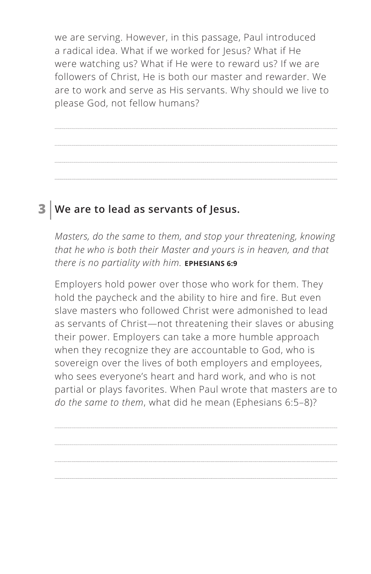we are serving. However, in this passage, Paul introduced a radical idea. What if we worked for Jesus? What if He were watching us? What if He were to reward us? If we are followers of Christ, He is both our master and rewarder. We are to work and serve as His servants. Why should we live to please God, not fellow humans?

## **3 We are to lead as servants of Jesus.**

*Masters, do the same to them, and stop your threatening, knowing that he who is both their Master and yours is in heaven, and that there is no partiality with him. ^***EPHESIANS 6:9**

Employers hold power over those who work for them. They hold the paycheck and the ability to hire and fire. But even slave masters who followed Christ were admonished to lead as servants of Christ—not threatening their slaves or abusing their power. Employers can take a more humble approach when they recognize they are accountable to God, who is sovereign over the lives of both employers and employees, who sees everyone's heart and hard work, and who is not partial or plays favorites. When Paul wrote that masters are to *do the same to them*, what did he mean (Ephesians 6:5–8)?